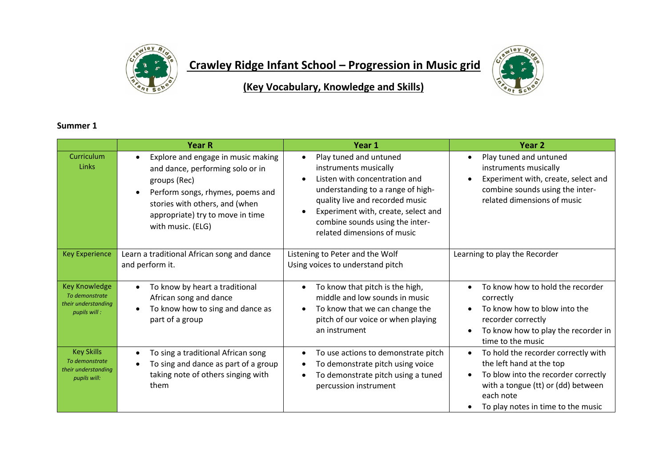

## **Crawley Ridge Infant School – Progression in Music grid**



**(Key Vocabulary, Knowledge and Skills)**

## **Summer 1**

|                                                                               | <b>Year R</b>                                                                                                                                                                                                         | Year 1                                                                                                                                                                                                                                                                         | Year <sub>2</sub>                                                                                                                                                                                            |
|-------------------------------------------------------------------------------|-----------------------------------------------------------------------------------------------------------------------------------------------------------------------------------------------------------------------|--------------------------------------------------------------------------------------------------------------------------------------------------------------------------------------------------------------------------------------------------------------------------------|--------------------------------------------------------------------------------------------------------------------------------------------------------------------------------------------------------------|
| Curriculum<br>Links                                                           | Explore and engage in music making<br>and dance, performing solo or in<br>groups (Rec)<br>Perform songs, rhymes, poems and<br>stories with others, and (when<br>appropriate) try to move in time<br>with music. (ELG) | Play tuned and untuned<br>$\bullet$<br>instruments musically<br>Listen with concentration and<br>understanding to a range of high-<br>quality live and recorded music<br>Experiment with, create, select and<br>combine sounds using the inter-<br>related dimensions of music | Play tuned and untuned<br>instruments musically<br>Experiment with, create, select and<br>combine sounds using the inter-<br>related dimensions of music                                                     |
| <b>Key Experience</b>                                                         | Learn a traditional African song and dance<br>and perform it.                                                                                                                                                         | Listening to Peter and the Wolf<br>Using voices to understand pitch                                                                                                                                                                                                            | Learning to play the Recorder                                                                                                                                                                                |
| <b>Key Knowledge</b><br>To demonstrate<br>their understanding<br>pupils will: | To know by heart a traditional<br>$\bullet$<br>African song and dance<br>To know how to sing and dance as<br>$\bullet$<br>part of a group                                                                             | To know that pitch is the high,<br>$\bullet$<br>middle and low sounds in music<br>To know that we can change the<br>pitch of our voice or when playing<br>an instrument                                                                                                        | To know how to hold the recorder<br>$\bullet$<br>correctly<br>To know how to blow into the<br>recorder correctly<br>To know how to play the recorder in<br>time to the music                                 |
| <b>Key Skills</b><br>To demonstrate<br>their understanding<br>pupils will:    | To sing a traditional African song<br>$\bullet$<br>To sing and dance as part of a group<br>taking note of others singing with<br>them                                                                                 | To use actions to demonstrate pitch<br>$\bullet$<br>To demonstrate pitch using voice<br>To demonstrate pitch using a tuned<br>percussion instrument                                                                                                                            | To hold the recorder correctly with<br>$\bullet$<br>the left hand at the top<br>To blow into the recorder correctly<br>with a tongue (tt) or (dd) between<br>each note<br>To play notes in time to the music |